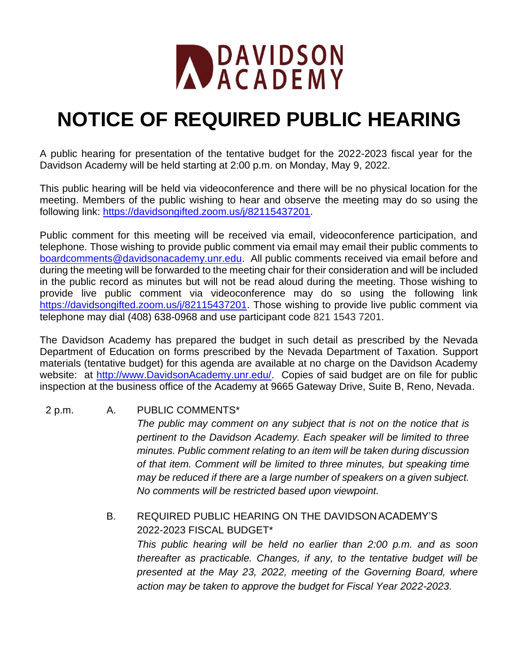

## **NOTICE OF REQUIRED PUBLIC HEARING**

A public hearing for presentation of the tentative budget for the 2022-2023 fiscal year for the Davidson Academy will be held starting at 2:00 p.m. on Monday, May 9, 2022.

This public hearing will be held via videoconference and there will be no physical location for the meeting. Members of the public wishing to hear and observe the meeting may do so using the following link: [https://davidsongifted.zoom.us/j/82115437201.](https://davidsongifted.zoom.us/j/82115437201)

Public comment for this meeting will be received via email, videoconference participation, and telephone. Those wishing to provide public comment via email may email their public comments to [boardcomments@davidsonacademy.unr.edu.](mailto:boardcomments@davidsonacademy.unr.edu) All public comments received via email before and during the meeting will be forwarded to the meeting chair for their consideration and will be included in the public record as minutes but will not be read aloud during the meeting. Those wishing to provide live public comment via videoconference may do so using the following link [https://davidsongifted.zoom.us/j/82115437201.](https://davidsongifted.zoom.us/j/82115437201) Those wishing to provide live public comment via telephone may dial (408) 638-0968 and use participant code 821 1543 7201.

The Davidson Academy has prepared the budget in such detail as prescribed by the Nevada Department of Education on forms prescribed by the Nevada Department of Taxation. Support materials (tentative budget) for this agenda are available at no charge on the Davidson Academy website: at [http://www.DavidsonAcademy.unr.edu/.](http://www.davidsonacademy.unr.edu/) Copies of said budget are on file for public inspection at the business office of the Academy at 9665 Gateway Drive, Suite B, Reno, Nevada.

## 2 p.m. A. PUBLIC COMMENTS\*

*The public may comment on any subject that is not on the notice that is pertinent to the Davidson Academy. Each speaker will be limited to three minutes. Public comment relating to an item will be taken during discussion of that item. Comment will be limited to three minutes, but speaking time may be reduced if there are a large number of speakers on a given subject. No comments will be restricted based upon viewpoint.*

B. REQUIRED PUBLIC HEARING ON THE DAVIDSON ACADEMY'S 2022-2023 FISCAL BUDGET\*

*This public hearing will be held no earlier than 2:00 p.m. and as soon thereafter as practicable. Changes, if any, to the tentative budget will be presented at the May 23, 2022, meeting of the Governing Board, where action may be taken to approve the budget for Fiscal Year 2022-2023.*